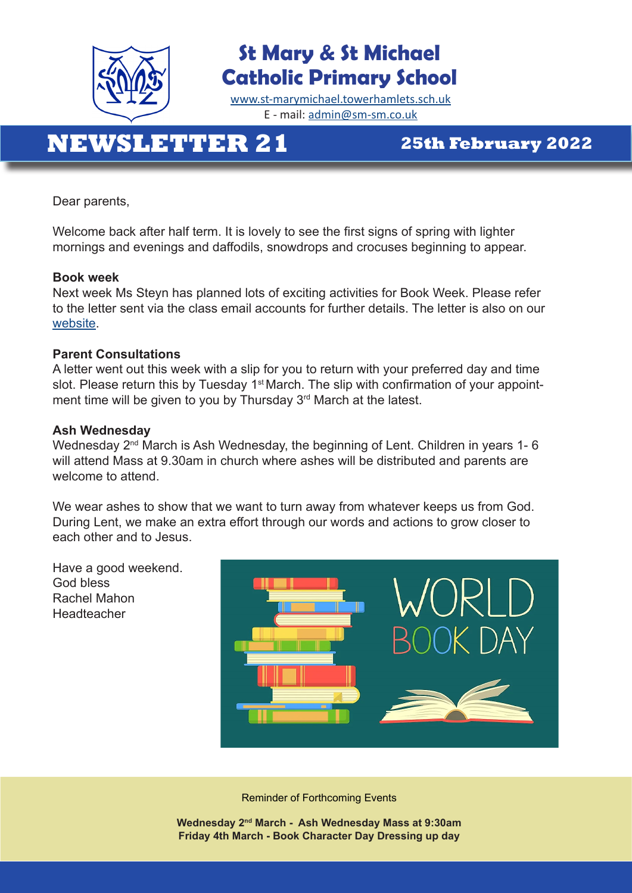

### **St Mary & St Michael Catholic Primary School**

[www.st-marymichael.towerhamlets.sch.uk](http://www.st-marymichael.towerhamlets.sch.uk)  E - mail: [admin@sm-sm.co.uk](http://admin@sm-sm.co.uk)

## **NEWSLETTER 21 25th February 2022**

Dear parents,

Welcome back after half term. It is lovely to see the first signs of spring with lighter mornings and evenings and daffodils, snowdrops and crocuses beginning to appear.

#### **Book week**

Next week Ms Steyn has planned lots of exciting activities for Book Week. Please refer to the letter sent via the class email accounts for further details. The letter is also on our [website](https://st-marymichael.towerhamlets.sch.uk/book-week-2021/?preview_id=1923&preview_nonce=e24551f75d&_thumbnail_id=-1&preview=true).

#### **Parent Consultations**

A letter went out this week with a slip for you to return with your preferred day and time slot. Please return this by Tuesday 1<sup>st</sup> March. The slip with confirmation of your appointment time will be given to you by Thursday 3<sup>rd</sup> March at the latest.

#### **Ash Wednesday**

Wednesday 2<sup>nd</sup> March is Ash Wednesday, the beginning of Lent. Children in years 1-6 will attend Mass at 9.30am in church where ashes will be distributed and parents are welcome to attend.

We wear ashes to show that we want to turn away from whatever keeps us from God. During Lent, we make an extra effort through our words and actions to grow closer to each other and to Jesus.

Have a good weekend. God bless Rachel Mahon Headteacher



Reminder of Forthcoming Events

**Wednesday 2nd March - Ash Wednesday Mass at 9:30am Friday 4th March - Book Character Day Dressing up day**